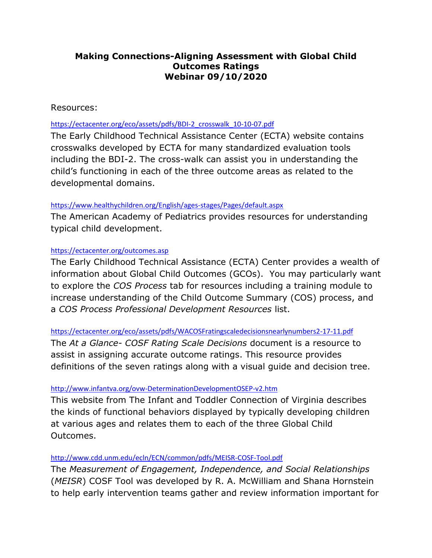# **Making Connections-Aligning Assessment with Global Child Outcomes Ratings Webinar 09/10/2020**

## Resources:

## [https://ectacenter.org/eco/assets/pdfs/BDI-2\\_crosswalk\\_10-10-07.pdf](https://ectacenter.org/eco/assets/pdfs/BDI-2_crosswalk_10-10-07.pdf)

The Early Childhood Technical Assistance Center (ECTA) website contains crosswalks developed by ECTA for many standardized evaluation tools including the BDI-2. The cross-walk can assist you in understanding the child's functioning in each of the three outcome areas as related to the developmental domains.

### <https://www.healthychildren.org/English/ages-stages/Pages/default.aspx>

The American Academy of Pediatrics provides resources for understanding typical child development.

### <https://ectacenter.org/outcomes.asp>

The Early Childhood Technical Assistance (ECTA) Center provides a wealth of information about Global Child Outcomes (GCOs). You may particularly want to explore the *COS Process* tab for resources including a training module to increase understanding of the Child Outcome Summary (COS) process, and a *COS Process Professional Development Resources* list.

<https://ectacenter.org/eco/assets/pdfs/WACOSFratingscaledecisionsnearlynumbers2-17-11.pdf>

The *At a Glance- COSF Rating Scale Decisions* document is a resource to assist in assigning accurate outcome ratings. This resource provides definitions of the seven ratings along with a visual guide and decision tree.

#### <http://www.infantva.org/ovw-DeterminationDevelopmentOSEP-v2.htm>

This website from The Infant and Toddler Connection of Virginia describes the kinds of functional behaviors displayed by typically developing children at various ages and relates them to each of the three Global Child Outcomes.

#### <http://www.cdd.unm.edu/ecln/ECN/common/pdfs/MEISR-COSF-Tool.pdf>

The *Measurement of Engagement, Independence, and Social Relationships* (*MEISR*) COSF Tool was developed by R. A. McWilliam and Shana Hornstein to help early intervention teams gather and review information important for